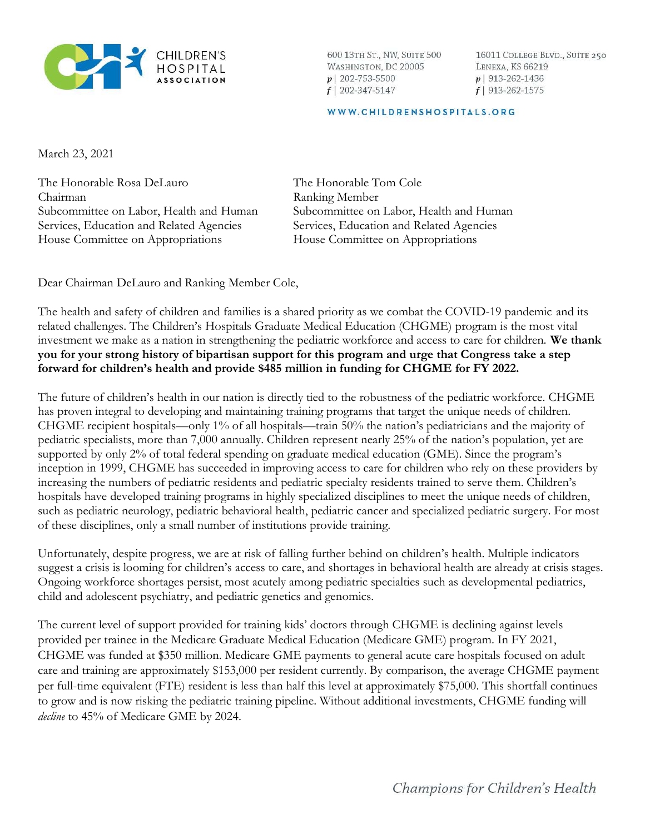

600 13TH ST., NW, SUITE 500 WASHINGTON, DC 20005  $p$ | 202-753-5500  $f$ | 202-347-5147

16011 COLLEGE BLVD., SUITE 250 LENEXA, KS 66219  $p$  913-262-1436  $f$ | 913-262-1575

## WWW.CHILDRENSHOSPITALS.ORG

March 23, 2021

The Honorable Rosa DeLauro Chairman Subcommittee on Labor, Health and Human Services, Education and Related Agencies House Committee on Appropriations

The Honorable Tom Cole Ranking Member Subcommittee on Labor, Health and Human Services, Education and Related Agencies House Committee on Appropriations

Dear Chairman DeLauro and Ranking Member Cole,

The health and safety of children and families is a shared priority as we combat the COVID-19 pandemic and its related challenges. The Children's Hospitals Graduate Medical Education (CHGME) program is the most vital investment we make as a nation in strengthening the pediatric workforce and access to care for children. We thank you for your strong history of bipartisan support for this program and urge that Congress take a step forward for children's health and provide \$485 million in funding for CHGME for FY 2022.

The future of children's health in our nation is directly tied to the robustness of the pediatric workforce. CHGME has proven integral to developing and maintaining training programs that target the unique needs of children. CHGME recipient hospitals—only 1% of all hospitals—train 50% the nation's pediatricians and the majority of pediatric specialists, more than 7,000 annually. Children represent nearly 25% of the nation's population, yet are supported by only 2% of total federal spending on graduate medical education (GME). Since the program's inception in 1999, CHGME has succeeded in improving access to care for children who rely on these providers by increasing the numbers of pediatric residents and pediatric specialty residents trained to serve them. Children's hospitals have developed training programs in highly specialized disciplines to meet the unique needs of children, such as pediatric neurology, pediatric behavioral health, pediatric cancer and specialized pediatric surgery. For most of these disciplines, only a small number of institutions provide training.

Unfortunately, despite progress, we are at risk of falling further behind on children's health. Multiple indicators suggest a crisis is looming for children's access to care, and shortages in behavioral health are already at crisis stages. Ongoing workforce shortages persist, most acutely among pediatric specialties such as developmental pediatrics, child and adolescent psychiatry, and pediatric genetics and genomics.

The current level of support provided for training kids' doctors through CHGME is declining against levels provided per trainee in the Medicare Graduate Medical Education (Medicare GME) program. In FY 2021, CHGME was funded at \$350 million. Medicare GME payments to general acute care hospitals focused on adult care and training are approximately \$153,000 per resident currently. By comparison, the average CHGME payment per full-time equivalent (FTE) resident is less than half this level at approximately \$75,000. This shortfall continues to grow and is now risking the pediatric training pipeline. Without additional investments, CHGME funding will decline to 45% of Medicare GME by 2024.